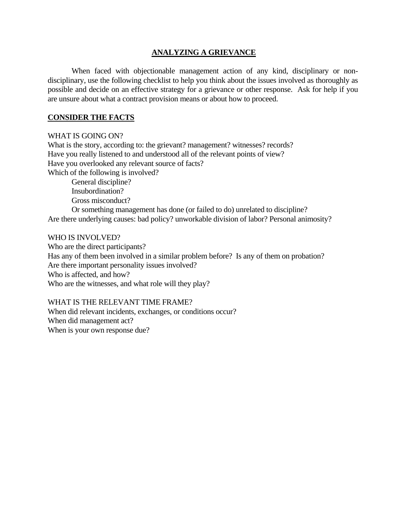#### **ANALYZING A GRIEVANCE**

 When faced with objectionable management action of any kind, disciplinary or nondisciplinary, use the following checklist to help you think about the issues involved as thoroughly as possible and decide on an effective strategy for a grievance or other response. Ask for help if you are unsure about what a contract provision means or about how to proceed.

#### **CONSIDER THE FACTS**

#### WHAT IS GOING ON?

What is the story, according to: the grievant? management? witnesses? records? Have you really listened to and understood all of the relevant points of view? Have you overlooked any relevant source of facts? Which of the following is involved? General discipline? Insubordination? Gross misconduct? Or something management has done (or failed to do) unrelated to discipline? Are there underlying causes: bad policy? unworkable division of labor? Personal animosity?

#### WHO IS INVOLVED?

Who are the direct participants? Has any of them been involved in a similar problem before? Is any of them on probation? Are there important personality issues involved? Who is affected, and how? Who are the witnesses, and what role will they play?

#### WHAT IS THE RELEVANT TIME FRAME?

When did relevant incidents, exchanges, or conditions occur? When did management act? When is your own response due?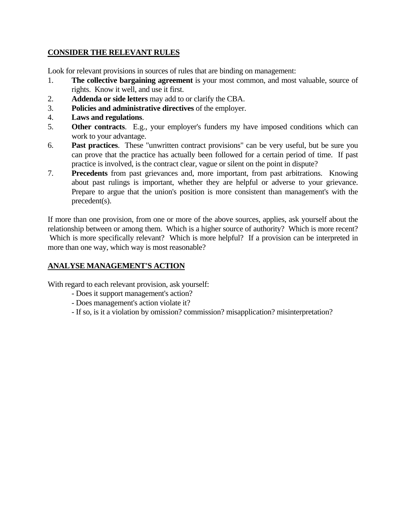## **CONSIDER THE RELEVANT RULES**

Look for relevant provisions in sources of rules that are binding on management:

- 1. **The collective bargaining agreement** is your most common, and most valuable, source of rights. Know it well, and use it first.
- 2. **Addenda or side letters** may add to or clarify the CBA.
- 3. **Policies and administrative directives** of the employer.
- 4. **Laws and regulations**.
- 5. **Other contracts**. E.g., your employer's funders my have imposed conditions which can work to your advantage.
- 6. **Past practices**. These "unwritten contract provisions" can be very useful, but be sure you can prove that the practice has actually been followed for a certain period of time. If past practice is involved, is the contract clear, vague or silent on the point in dispute?
- 7. **Precedents** from past grievances and, more important, from past arbitrations. Knowing about past rulings is important, whether they are helpful or adverse to your grievance. Prepare to argue that the union's position is more consistent than management's with the precedent(s).

If more than one provision, from one or more of the above sources, applies, ask yourself about the relationship between or among them. Which is a higher source of authority? Which is more recent? Which is more specifically relevant? Which is more helpful? If a provision can be interpreted in more than one way, which way is most reasonable?

## **ANALYSE MANAGEMENT'S ACTION**

With regard to each relevant provision, ask yourself:

- Does it support management's action?
- Does management's action violate it?
- If so, is it a violation by omission? commission? misapplication? misinterpretation?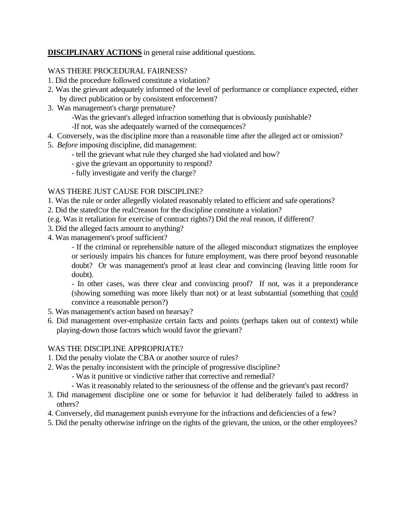**DISCIPLINARY ACTIONS** in general raise additional questions.

## WAS THERE PROCEDURAL FAIRNESS?

- 1. Did the procedure followed constitute a violation?
- 2. Was the grievant adequately informed of the level of performance or compliance expected, either by direct publication or by consistent enforcement?
- 3. Was management's charge premature?
	- -Was the grievant's alleged infraction something that is obviously punishable?
	- -If not, was she adequately warned of the consequences?
- 4. Conversely, was the discipline more than a reasonable time after the alleged act or omission?
- 5. *Before* imposing discipline, did management:
	- tell the grievant what rule they charged she had violated and how?
	- give the grievant an opportunity to respond?
	- fully investigate and verify the charge?

## WAS THERE JUST CAUSE FOR DISCIPLINE?

- 1. Was the rule or order allegedly violated reasonably related to efficient and safe operations?
- 2. Did the statedCor the realCreason for the discipline constitute a violation?
- (e.g. Was it retaliation for exercise of contract rights?) Did the real reason, if different?
- 3. Did the alleged facts amount to anything?
- 4. Was management's proof sufficient?

 - If the criminal or reprehensible nature of the alleged misconduct stigmatizes the employee or seriously impairs his chances for future employment, was there proof beyond reasonable doubt? Or was management's proof at least clear and convincing (leaving little room for doubt).

 - In other cases, was there clear and convincing proof? If not, was it a preponderance (showing something was more likely than not) or at least substantial (something that could convince a reasonable person?)

- 5. Was management's action based on hearsay?
- 6. Did management over-emphasize certain facts and points (perhaps taken out of context) while playing-down those factors which would favor the grievant?

### WAS THE DISCIPLINE APPROPRIATE?

- 1. Did the penalty violate the CBA or another source of rules?
- 2. Was the penalty inconsistent with the principle of progressive discipline?
	- Was it punitive or vindictive rather that corrective and remedial?
	- Was it reasonably related to the seriousness of the offense and the grievant's past record?
- 3. Did management discipline one or some for behavior it had deliberately failed to address in others?
- 4. Conversely, did management punish everyone for the infractions and deficiencies of a few?
- 5. Did the penalty otherwise infringe on the rights of the grievant, the union, or the other employees?